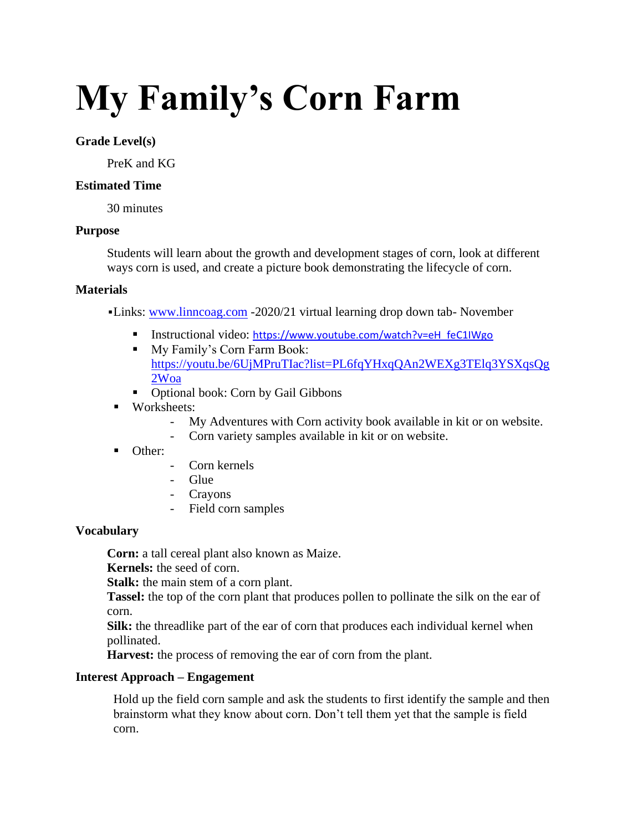# **My Family's Corn Farm**

## **Grade Level(s)**

PreK and KG

## **Estimated Time**

30 minutes

## **Purpose**

Students will learn about the growth and development stages of corn, look at different ways corn is used, and create a picture book demonstrating the lifecycle of corn.

## **Materials**

▪Links: [www.linncoag.com](http://www.linncoag.com/) -2020/21 virtual learning drop down tab- November

- Instructional video: [https://www.youtube.com/watch?v=eH\\_feC1IWgo](https://www.youtube.com/watch?v=eH_feC1IWgo)
- My Family's Corn Farm Book: [https://youtu.be/6UjMPruTIac?list=PL6fqYHxqQAn2WEXg3TElq3YSXqsQg](https://youtu.be/6UjMPruTIac?list=PL6fqYHxqQAn2WEXg3TElq3YSXqsQg2Woa) [2Woa](https://youtu.be/6UjMPruTIac?list=PL6fqYHxqQAn2WEXg3TElq3YSXqsQg2Woa)
- Optional book: Corn by Gail Gibbons
- Worksheets:
	- My Adventures with Corn activity book available in kit or on website.
	- Corn variety samples available in kit or on website.
- Other:
- Corn kernels
- Glue
- Crayons
- Field corn samples

# **Vocabulary**

**Corn:** a tall cereal plant also known as Maize.

**Kernels:** the seed of corn.

**Stalk:** the main stem of a corn plant.

**Tassel:** the top of the corn plant that produces pollen to pollinate the silk on the ear of corn.

**Silk:** the threadlike part of the ear of corn that produces each individual kernel when pollinated.

**Harvest:** the process of removing the ear of corn from the plant.

# **Interest Approach – Engagement**

Hold up the field corn sample and ask the students to first identify the sample and then brainstorm what they know about corn. Don't tell them yet that the sample is field corn.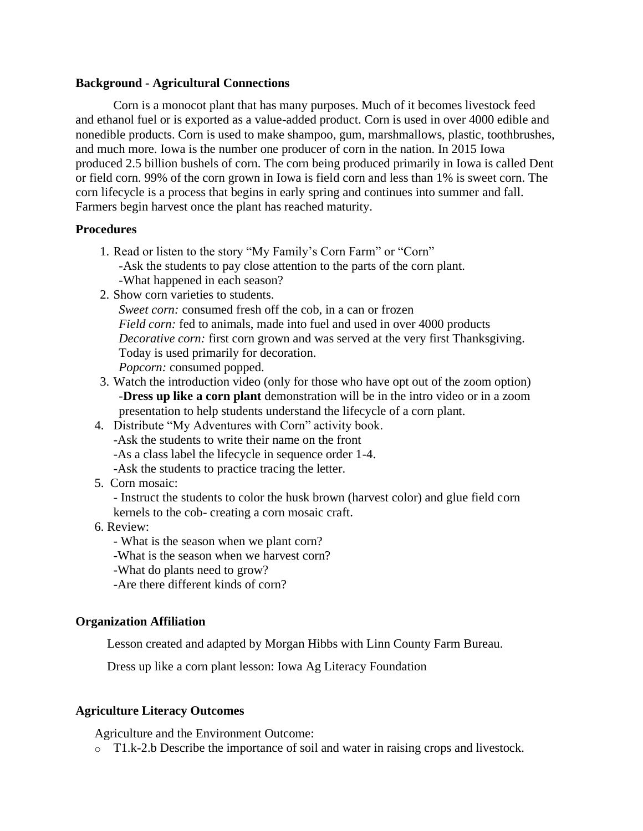### **Background - Agricultural Connections**

Corn is a monocot plant that has many purposes. Much of it becomes livestock feed and ethanol fuel or is exported as a value-added product. Corn is used in over 4000 edible and nonedible products. Corn is used to make shampoo, gum, marshmallows, plastic, toothbrushes, and much more. Iowa is the number one producer of corn in the nation. In 2015 Iowa produced 2.5 billion bushels of corn. The corn being produced primarily in Iowa is called Dent or field corn. 99% of the corn grown in Iowa is field corn and less than 1% is sweet corn. The corn lifecycle is a process that begins in early spring and continues into summer and fall. Farmers begin harvest once the plant has reached maturity.

### **Procedures**

- 1. Read or listen to the story "My Family's Corn Farm" or "Corn" -Ask the students to pay close attention to the parts of the corn plant. -What happened in each season?
- 2. Show corn varieties to students.

*Sweet corn:* consumed fresh off the cob, in a can or frozen *Field corn:* fed to animals, made into fuel and used in over 4000 products *Decorative corn:* first corn grown and was served at the very first Thanksgiving. Today is used primarily for decoration. *Popcorn:* consumed popped.

- 3. Watch the introduction video (only for those who have opt out of the zoom option) -**Dress up like a corn plant** demonstration will be in the intro video or in a zoom presentation to help students understand the lifecycle of a corn plant.
- 4. Distribute "My Adventures with Corn" activity book. -Ask the students to write their name on the front -As a class label the lifecycle in sequence order 1-4. -Ask the students to practice tracing the letter.
- 5. Corn mosaic:

- Instruct the students to color the husk brown (harvest color) and glue field corn kernels to the cob- creating a corn mosaic craft.

- 6. Review:
	- What is the season when we plant corn?
	- -What is the season when we harvest corn?
	- -What do plants need to grow?
	- -Are there different kinds of corn?

### **Organization Affiliation**

Lesson created and adapted by Morgan Hibbs with Linn County Farm Bureau.

Dress up like a corn plant lesson: Iowa Ag Literacy Foundation

### **Agriculture Literacy Outcomes**

Agriculture and the Environment Outcome:

 $\circ$  T1.k-2.b Describe the importance of soil and water in raising crops and livestock.